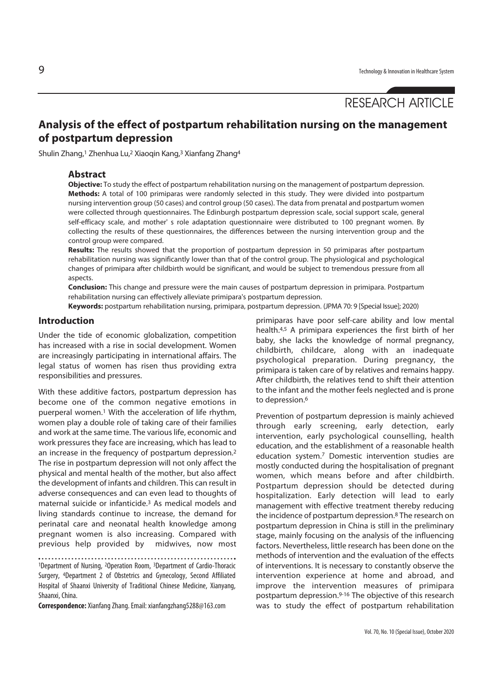# RESEARCH ARTICLE

## **Analysis of the effect of postpartum rehabilitation nursing on the management of postpartum depression**

Shulin Zhang,<sup>1</sup> Zhenhua Lu,<sup>2</sup> Xiaoqin Kang,<sup>3</sup> Xianfang Zhang<sup>4</sup>

#### **Abstract**

**Objective:** To study the effect of postpartum rehabilitation nursing on the management of postpartum depression. **Methods:** A total of 100 primiparas were randomly selected in this study. They were divided into postpartum nursing intervention group (50 cases) and control group (50 cases). The data from prenatal and postpartum women were collected through questionnaires. The Edinburgh postpartum depression scale, social support scale, general self-efficacy scale, and mother' s role adaptation questionnaire were distributed to 100 pregnant women. By collecting the results of these questionnaires, the differences between the nursing intervention group and the control group were compared.

**Results:** The results showed that the proportion of postpartum depression in 50 primiparas after postpartum rehabilitation nursing was significantly lower than that of the control group. The physiological and psychological changes of primipara after childbirth would be significant, and would be subject to tremendous pressure from all aspects.

**Conclusion:** This change and pressure were the main causes of postpartum depression in primipara. Postpartum rehabilitation nursing can effectively alleviate primipara's postpartum depression.

**Keywords:** postpartum rehabilitation nursing, primipara, postpartum depression. (JPMA 70: 9 [Special Issue]; 2020)

#### **Introduction**

Under the tide of economic globalization, competition has increased with a rise in social development. Women are increasingly participating in international affairs. The legal status of women has risen thus providing extra responsibilities and pressures.

With these additive factors, postpartum depression has become one of the common negative emotions in puerperal women.1 With the acceleration of life rhythm, women play a double role of taking care of their families and work at the same time. The various life, economic and work pressures they face are increasing, which has lead to an increase in the frequency of postpartum depression.2 The rise in postpartum depression will not only affect the physical and mental health of the mother, but also affect the development of infants and children. This can result in adverse consequences and can even lead to thoughts of maternal suicide or infanticide.3 As medical models and living standards continue to increase, the demand for perinatal care and neonatal health knowledge among pregnant women is also increasing. Compared with previous help provided by midwives, now most

1Department of Nursing, 2Operation Room, 3Department of Cardio-Thoracic Surgery, 4Department 2 of Obstetrics and Gynecology, Second Affiliated Hospital of Shaanxi University of Traditional Chinese Medicine, Xianyang, Shaanxi, China.

**Correspondence:** Xianfang Zhang. Email: xianfangzhang5288@163.com

primiparas have poor self-care ability and low mental health.4,5 A primipara experiences the first birth of her baby, she lacks the knowledge of normal pregnancy, childbirth, childcare, along with an inadequate psychological preparation. During pregnancy, the primipara is taken care of by relatives and remains happy. After childbirth, the relatives tend to shift their attention to the infant and the mother feels neglected and is prone to depression.<sup>6</sup>

Prevention of postpartum depression is mainly achieved through early screening, early detection, early intervention, early psychological counselling, health education, and the establishment of a reasonable health education system.7 Domestic intervention studies are mostly conducted during the hospitalisation of pregnant women, which means before and after childbirth. Postpartum depression should be detected during hospitalization. Early detection will lead to early management with effective treatment thereby reducing the incidence of postpartum depression.8 The research on postpartum depression in China is still in the preliminary stage, mainly focusing on the analysis of the influencing factors. Nevertheless, little research has been done on the methods of intervention and the evaluation of the effects of interventions. It is necessary to constantly observe the intervention experience at home and abroad, and improve the intervention measures of primipara postpartum depression.9-16 The objective of this research was to study the effect of postpartum rehabilitation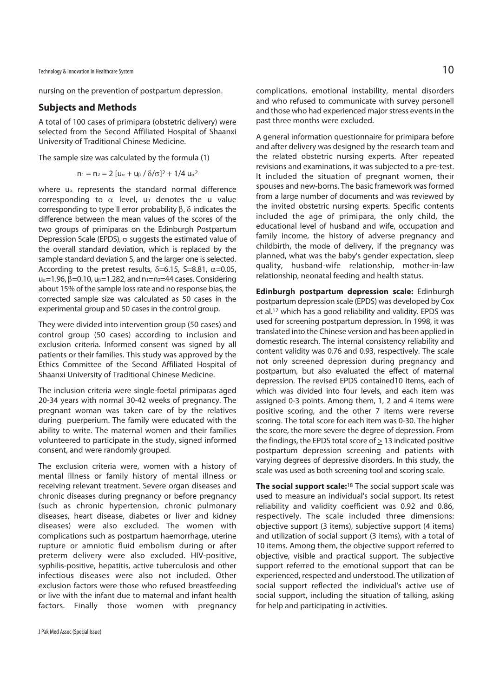Technology & Innovation in Healthcare System  $10$ 

nursing on the prevention of postpartum depression.

#### **Subjects and Methods**

A total of 100 cases of primipara (obstetric delivery) were selected from the Second Affiliated Hospital of Shaanxi University of Traditional Chinese Medicine.

The sample size was calculated by the formula (1)

$$
n_1=n_2=2~[u_\alpha+u_\beta~/~\delta/\sigma]^2+1/4~u_\alpha{}^2
$$

where  $u_{\alpha}$  represents the standard normal difference corresponding to  $\alpha$  level, u<sub>β</sub> denotes the u value corresponding to type II error probability β, δ indicates the difference between the mean values of the scores of the two groups of primiparas on the Edinburgh Postpartum Depression Scale (EPDS), σ suggests the estimated value of the overall standard deviation, which is replaced by the sample standard deviation S, and the larger one is selected. According to the pretest results,  $\delta$ =6.15, S=8.81,  $\alpha$ =0.05,  $u_{\alpha}=1.96$ ,  $\beta=0.10$ ,  $u_{\beta}=1.282$ , and  $n_1=n_2=44$  cases. Considering about 15% of the sample loss rate and no response bias, the corrected sample size was calculated as 50 cases in the experimental group and 50 cases in the control group.

They were divided into intervention group (50 cases) and control group (50 cases) according to inclusion and exclusion criteria. Informed consent was signed by all patients or their families. This study was approved by the Ethics Committee of the Second Affiliated Hospital of Shaanxi University of Traditional Chinese Medicine.

The inclusion criteria were single-foetal primiparas aged 20-34 years with normal 30-42 weeks of pregnancy. The pregnant woman was taken care of by the relatives during puerperium. The family were educated with the ability to write. The maternal women and their families volunteered to participate in the study, signed informed consent, and were randomly grouped.

The exclusion criteria were, women with a history of mental illness or family history of mental illness or receiving relevant treatment. Severe organ diseases and chronic diseases during pregnancy or before pregnancy (such as chronic hypertension, chronic pulmonary diseases, heart disease, diabetes or liver and kidney diseases) were also excluded. The women with complications such as postpartum haemorrhage, uterine rupture or amniotic fluid embolism during or after preterm delivery were also excluded. HIV-positive, syphilis-positive, hepatitis, active tuberculosis and other infectious diseases were also not included. Other exclusion factors were those who refused breastfeeding or live with the infant due to maternal and infant health factors. Finally those women with pregnancy

complications, emotional instability, mental disorders and who refused to communicate with survey personell and those who had experienced major stress events in the past three months were excluded.

A general information questionnaire for primipara before and after delivery was designed by the research team and the related obstetric nursing experts. After repeated revisions and examinations, it was subjected to a pre-test. It included the situation of pregnant women, their spouses and new-borns. The basic framework was formed from a large number of documents and was reviewed by the invited obstetric nursing experts. Specific contents included the age of primipara, the only child, the educational level of husband and wife, occupation and family income, the history of adverse pregnancy and childbirth, the mode of delivery, if the pregnancy was planned, what was the baby's gender expectation, sleep quality, husband-wife relationship, mother-in-law relationship, neonatal feeding and health status.

**Edinburgh postpartum depression scale:** Edinburgh postpartum depression scale (EPDS) was developed by Cox et al.17 which has a good reliability and validity. EPDS was used for screening postpartum depression. In 1998, it was translated into the Chinese version and has been applied in domestic research. The internal consistency reliability and content validity was 0.76 and 0.93, respectively. The scale not only screened depression during pregnancy and postpartum, but also evaluated the effect of maternal depression. The revised EPDS contained10 items, each of which was divided into four levels, and each item was assigned 0-3 points. Among them, 1, 2 and 4 items were positive scoring, and the other 7 items were reverse scoring. The total score for each item was 0-30. The higher the score, the more severe the degree of depression. From the findings, the EPDS total score of > 13 indicated positive postpartum depression screening and patients with varying degrees of depressive disorders. In this study, the scale was used as both screening tool and scoring scale.

**The social support scale:**18 The social support scale was used to measure an individual's social support. Its retest reliability and validity coefficient was 0.92 and 0.86, respectively. The scale included three dimensions: objective support (3 items), subjective support (4 items) and utilization of social support (3 items), with a total of 10 items. Among them, the objective support referred to objective, visible and practical support. The subjective support referred to the emotional support that can be experienced, respected and understood. The utilization of social support reflected the individual's active use of social support, including the situation of talking, asking for help and participating in activities.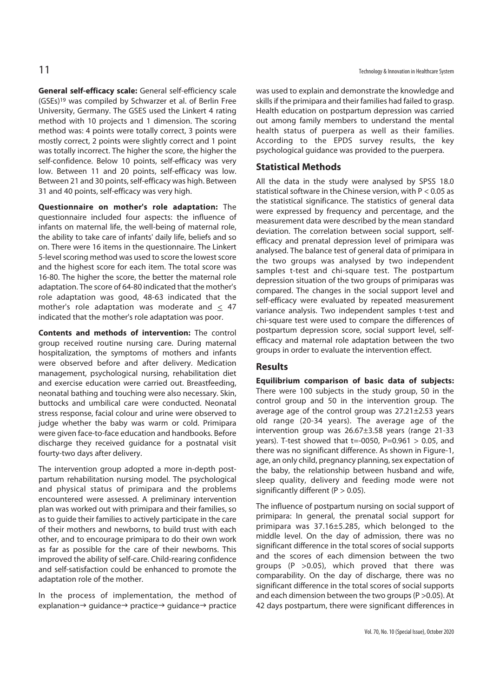**General self-efficacy scale:** General self-efficiency scale (GSEs)19 was compiled by Schwarzer et al. of Berlin Free University, Germany. The GSES used the Linkert 4 rating method with 10 projects and 1 dimension. The scoring method was: 4 points were totally correct, 3 points were mostly correct, 2 points were slightly correct and 1 point was totally incorrect. The higher the score, the higher the self-confidence. Below 10 points, self-efficacy was very low. Between 11 and 20 points, self-efficacy was low. Between 21 and 30 points, self-efficacy was high. Between 31 and 40 points, self-efficacy was very high.

**Questionnaire on mother's role adaptation:** The questionnaire included four aspects: the influence of infants on maternal life, the well-being of maternal role, the ability to take care of infants' daily life, beliefs and so on. There were 16 items in the questionnaire. The Linkert 5-level scoring method was used to score the lowest score and the highest score for each item. The total score was 16-80. The higher the score, the better the maternal role adaptation. The score of 64-80 indicated that the mother's role adaptation was good, 48-63 indicated that the mother's role adaptation was moderate and < 47 indicated that the mother's role adaptation was poor.

**Contents and methods of intervention:** The control group received routine nursing care. During maternal hospitalization, the symptoms of mothers and infants were observed before and after delivery. Medication management, psychological nursing, rehabilitation diet and exercise education were carried out. Breastfeeding, neonatal bathing and touching were also necessary. Skin, buttocks and umbilical care were conducted. Neonatal stress response, facial colour and urine were observed to judge whether the baby was warm or cold. Primipara were given face-to-face education and handbooks. Before discharge they received guidance for a postnatal visit fourty-two days after delivery.

The intervention group adopted a more in-depth postpartum rehabilitation nursing model. The psychological and physical status of primipara and the problems encountered were assessed. A preliminary intervention plan was worked out with primipara and their families, so as to guide their families to actively participate in the care of their mothers and newborns, to build trust with each other, and to encourage primipara to do their own work as far as possible for the care of their newborns. This improved the ability of self-care. Child-rearing confidence and self-satisfaction could be enhanced to promote the adaptation role of the mother.

In the process of implementation, the method of explanation $\rightarrow$  guidance $\rightarrow$  practice $\rightarrow$  guidance $\rightarrow$  practice

was used to explain and demonstrate the knowledge and skills if the primipara and their families had failed to grasp. Health education on postpartum depression was carried out among family members to understand the mental health status of puerpera as well as their families. According to the EPDS survey results, the key psychological guidance was provided to the puerpera.

#### **Statistical Methods**

All the data in the study were analysed by SPSS 18.0 statistical software in the Chinese version, with P < 0.05 as the statistical significance. The statistics of general data were expressed by frequency and percentage, and the measurement data were described by the mean standard deviation. The correlation between social support, selfefficacy and prenatal depression level of primipara was analysed. The balance test of general data of primipara in the two groups was analysed by two independent samples t-test and chi-square test. The postpartum depression situation of the two groups of primiparas was compared. The changes in the social support level and self-efficacy were evaluated by repeated measurement variance analysis. Two independent samples t-test and chi-square test were used to compare the differences of postpartum depression score, social support level, selfefficacy and maternal role adaptation between the two groups in order to evaluate the intervention effect.

#### **Results**

**Equilibrium comparison of basic data of subjects:** There were 100 subjects in the study group, 50 in the control group and 50 in the intervention group. The average age of the control group was 27.21±2.53 years old range (20-34 years). The average age of the intervention group was 26.67±3.58 years (range 21-33 vears). T-test showed that  $t=0050$ , P=0.961  $> 0.05$ , and there was no significant difference. As shown in Figure-1, age, an only child, pregnancy planning, sex expectation of the baby, the relationship between husband and wife, sleep quality, delivery and feeding mode were not significantly different ( $P > 0.05$ ).

The influence of postpartum nursing on social support of primipara: In general, the prenatal social support for primipara was 37.16±5.285, which belonged to the middle level. On the day of admission, there was no significant difference in the total scores of social supports and the scores of each dimension between the two groups (P >0.05), which proved that there was comparability. On the day of discharge, there was no significant difference in the total scores of social supports and each dimension between the two groups (P >0.05). At 42 days postpartum, there were significant differences in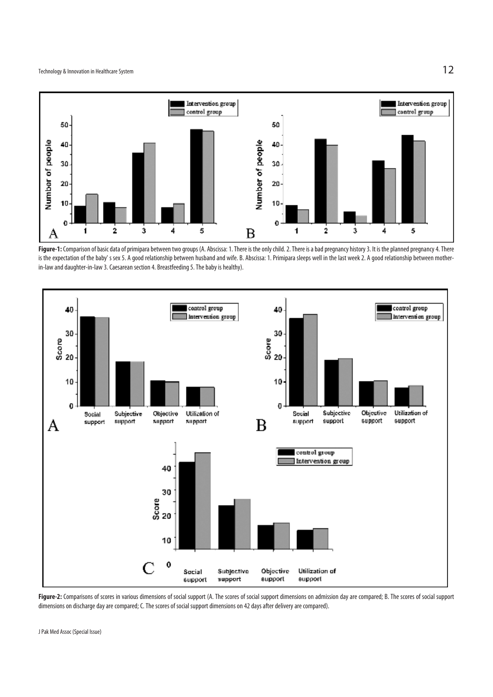

Figure-1: Comparison of basic data of primipara between two groups (A. Abscissa: 1. There is the only child. 2. There is a bad pregnancy history 3. It is the planned pregnancy 4. There is the expectation of the baby' s sex 5. A good relationship between husband and wife. B. Abscissa: 1. Primipara sleeps well in the last week 2. A good relationship between motherin-law and daughter-in-law 3. Caesarean section 4. Breastfeeding 5. The baby is healthy).



Figure-2: Comparisons of scores in various dimensions of social support (A. The scores of social support dimensions on admission day are compared; B. The scores of social support dimensions on discharge day are compared; C. The scores of social support dimensions on 42 days after delivery are compared).

J Pak Med Assoc (Special Issue)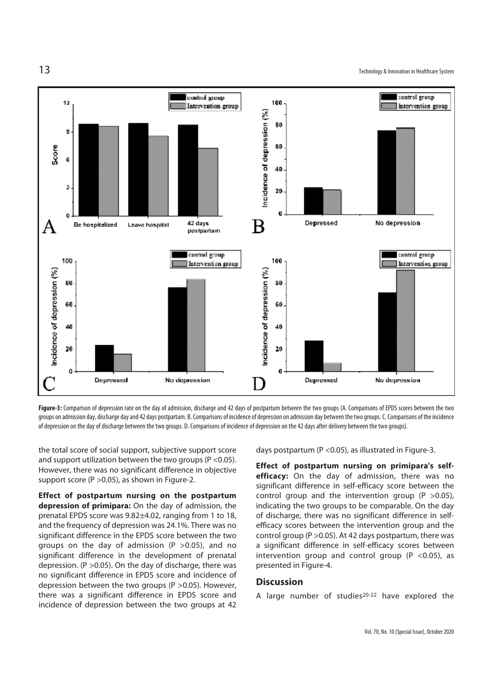$13$  Technology & Innovation in Healthcare System



Figure-3: Comparison of depression rate on the day of admission, discharge and 42 days of postpartum between the two groups (A. Comparisons of EPDS scores between the two groups on admission day, discharge day and 42 days postpartum. B. Comparisons of incidence of depression on admission day between the two groups. C. Comparisons of the incidence of depression on the day of discharge between the two groups. D. Comparisons of incidence of depression on the 42 days after delivery between the two groups).

the total score of social support, subjective support score and support utilization between the two groups (P <0.05). However, there was no significant difference in objective support score (P >0.05), as shown in Figure-2.

**Effect of postpartum nursing on the postpartum depression of primipara:** On the day of admission, the prenatal EPDS score was 9.82±4.02, ranging from 1 to 18, and the frequency of depression was 24.1%. There was no significant difference in the EPDS score between the two groups on the day of admission ( $P > 0.05$ ), and no significant difference in the development of prenatal depression. (P >0.05). On the day of discharge, there was no significant difference in EPDS score and incidence of depression between the two groups (P >0.05). However, there was a significant difference in EPDS score and incidence of depression between the two groups at 42

days postpartum (P <0.05), as illustrated in Figure-3.

**Effect of postpartum nursing on primipara's selfefficacy:** On the day of admission, there was no significant difference in self-efficacy score between the control group and the intervention group ( $P > 0.05$ ), indicating the two groups to be comparable. On the day of discharge, there was no significant difference in selfefficacy scores between the intervention group and the control group (P >0.05). At 42 days postpartum, there was a significant difference in self-efficacy scores between intervention group and control group (P <0.05), as presented in Figure-4.

#### **Discussion**

A large number of studies<sup>20-22</sup> have explored the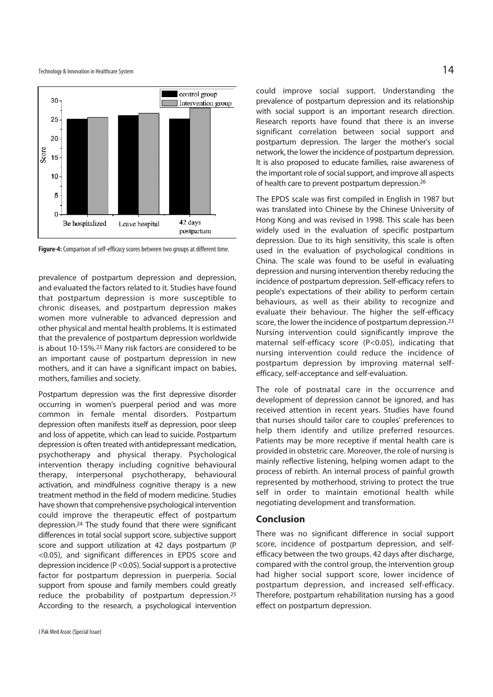

**Figure-4:** Comparison of self-efficacy scores between two groups at different time.

prevalence of postpartum depression and depression, and evaluated the factors related to it. Studies have found that postpartum depression is more susceptible to chronic diseases, and postpartum depression makes women more vulnerable to advanced depression and other physical and mental health problems. It is estimated that the prevalence of postpartum depression worldwide is about 10-15%.23 Many risk factors are considered to be an important cause of postpartum depression in new mothers, and it can have a significant impact on babies, mothers, families and society.

Postpartum depression was the first depressive disorder occurring in women's puerperal period and was more common in female mental disorders. Postpartum depression often manifests itself as depression, poor sleep and loss of appetite, which can lead to suicide. Postpartum depression is often treated with antidepressant medication, psychotherapy and physical therapy. Psychological intervention therapy including cognitive behavioural therapy, interpersonal psychotherapy, behavioural activation, and mindfulness cognitive therapy is a new treatment method in the field of modern medicine. Studies have shown that comprehensive psychological intervention could improve the therapeutic effect of postpartum depression.24 The study found that there were significant differences in total social support score, subjective support score and support utilization at 42 days postpartum (P <0.05), and significant differences in EPDS score and depression incidence (P <0.05). Social support is a protective factor for postpartum depression in puerperia. Social support from spouse and family members could greatly reduce the probability of postpartum depression.25 According to the research, a psychological intervention could improve social support. Understanding the prevalence of postpartum depression and its relationship with social support is an important research direction. Research reports have found that there is an inverse significant correlation between social support and postpartum depression. The larger the mother's social network, the lower the incidence of postpartum depression. It is also proposed to educate families, raise awareness of the important role of social support, and improve all aspects of health care to prevent postpartum depression.26

The EPDS scale was first compiled in English in 1987 but was translated into Chinese by the Chinese University of Hong Kong and was revised in 1998. This scale has been widely used in the evaluation of specific postpartum depression. Due to its high sensitivity, this scale is often used in the evaluation of psychological conditions in China. The scale was found to be useful in evaluating depression and nursing intervention thereby reducing the incidence of postpartum depression. Self-efficacy refers to people's expectations of their ability to perform certain behaviours, as well as their ability to recognize and evaluate their behaviour. The higher the self-efficacy score, the lower the incidence of postpartum depression.<sup>23</sup> Nursing intervention could significantly improve the maternal self-efficacy score (P<0.05), indicating that nursing intervention could reduce the incidence of postpartum depression by improving maternal selfefficacy, self-acceptance and self-evaluation.

The role of postnatal care in the occurrence and development of depression cannot be ignored, and has received attention in recent years. Studies have found that nurses should tailor care to couples' preferences to help them identify and utilize preferred resources. Patients may be more receptive if mental health care is provided in obstetric care. Moreover, the role of nursing is mainly reflective listening, helping women adapt to the process of rebirth. An internal process of painful growth represented by motherhood, striving to protect the true self in order to maintain emotional health while negotiating development and transformation.

#### **Conclusion**

There was no significant difference in social support score, incidence of postpartum depression, and selfefficacy between the two groups. 42 days after discharge, compared with the control group, the intervention group had higher social support score, lower incidence of postpartum depression, and increased self-efficacy. Therefore, postpartum rehabilitation nursing has a good effect on postpartum depression.